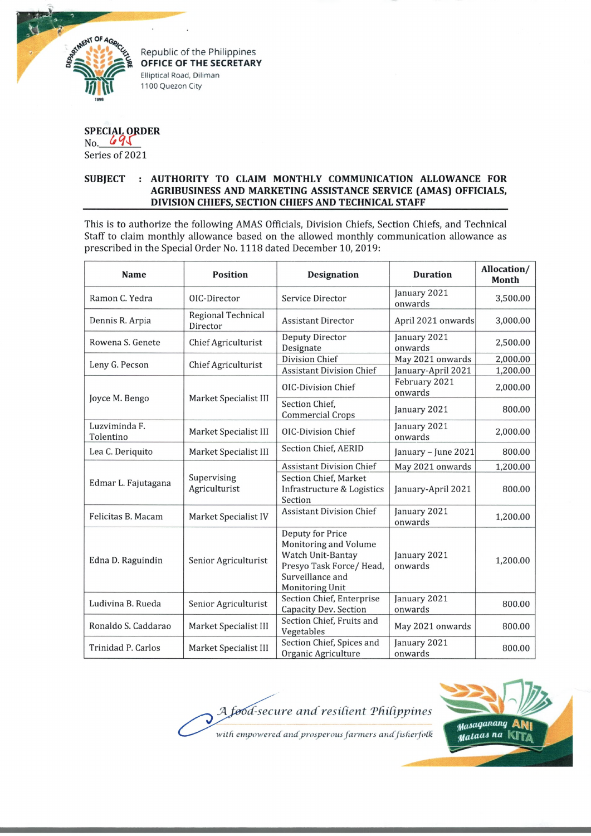

Republic of the Philippines **OFFICE OF THE SECRETARY** Elliptical Road, Diliman 1100 Quezon City

## **SPECIAL ORDER** No, *(i° l\*

Series of 2021

## **SUBJECT : AUTHORITY TO CLAIM MONTHLY COMMUNICATION ALLOWANCE FOR AGRIBUSINESS AND MARKETING ASSISTANCE SERVICE (AMAS) OFFICIALS, DIVISION CHIEFS, SECTION CHIEFS AND TECHNICAL STAFF**

This is to authorize the following AMAS Officials, Division Chiefs, Section Chiefs, and Technical Staff to claim monthly allowance based on the allowed monthly communication allowance as prescribed in the Special Order No. 1118 dated December 10, 2019:

| <b>Name</b>                | <b>Position</b>                       | <b>Designation</b>                                                                                                               | <b>Duration</b>                        | Allocation/<br><b>Month</b> |
|----------------------------|---------------------------------------|----------------------------------------------------------------------------------------------------------------------------------|----------------------------------------|-----------------------------|
| Ramon C. Yedra             | OIC-Director                          | Service Director                                                                                                                 | January 2021<br>onwards                | 3,500.00                    |
| Dennis R. Arpia            | <b>Regional Technical</b><br>Director | <b>Assistant Director</b>                                                                                                        | April 2021 onwards                     | 3,000.00                    |
| Rowena S. Genete           | Chief Agriculturist                   | <b>Deputy Director</b><br>Designate                                                                                              | January 2021<br>onwards                | 2,500.00                    |
| Leny G. Pecson             | Chief Agriculturist                   | Division Chief<br><b>Assistant Division Chief</b>                                                                                | May 2021 onwards<br>January-April 2021 | 2,000.00<br>1,200.00        |
| Joyce M. Bengo             | Market Specialist III                 | <b>OIC-Division Chief</b>                                                                                                        | February 2021<br>onwards               | 2,000.00                    |
|                            |                                       | Section Chief,<br><b>Commercial Crops</b>                                                                                        | January 2021                           | 800.00                      |
| Luzviminda F.<br>Tolentino | Market Specialist III                 | <b>OIC-Division Chief</b>                                                                                                        | January 2021<br>onwards                | 2,000.00                    |
| Lea C. Deriquito           | Market Specialist III                 | Section Chief, AERID                                                                                                             | January - June 2021                    | 800.00                      |
| Edmar L. Fajutagana        | Supervising<br>Agriculturist          | <b>Assistant Division Chief</b>                                                                                                  | May 2021 onwards                       | 1,200.00                    |
|                            |                                       | Section Chief, Market<br>Infrastructure & Logistics<br>Section                                                                   | January-April 2021                     | 800.00                      |
| Felicitas B. Macam         | Market Specialist IV                  | <b>Assistant Division Chief</b>                                                                                                  | January 2021<br>onwards                | 1,200.00                    |
| Edna D. Raguindin          | Senior Agriculturist                  | Deputy for Price<br>Monitoring and Volume<br>Watch Unit-Bantay<br>Presyo Task Force/Head,<br>Surveillance and<br>Monitoring Unit | January 2021<br>onwards                | 1,200.00                    |
| Ludivina B. Rueda          | Senior Agriculturist                  | Section Chief, Enterprise<br>Capacity Dev. Section                                                                               | January 2021<br>onwards                | 800.00                      |
| Ronaldo S. Caddarao        | Market Specialist III                 | Section Chief, Fruits and<br>Vegetables                                                                                          | May 2021 onwards                       | 800.00                      |
| Trinidad P. Carlos         | Market Specialist III                 | Section Chief, Spices and<br>Organic Agriculture                                                                                 | January 2021<br>onwards                | 800.00                      |